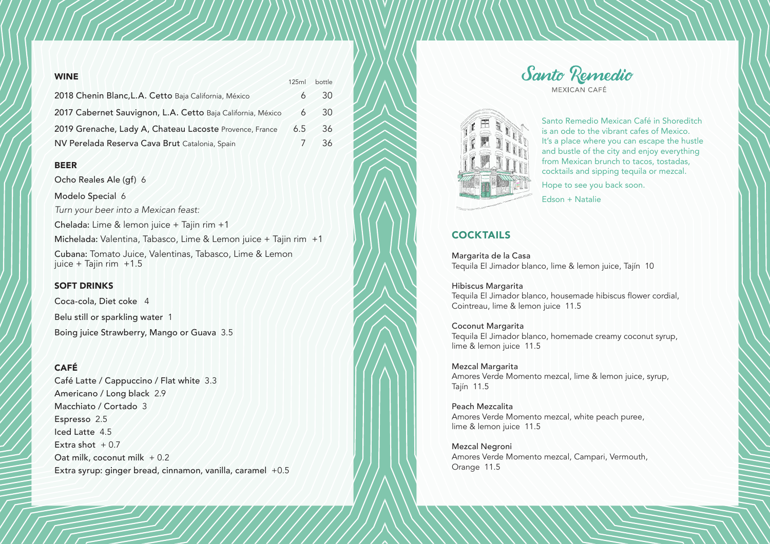| <b>WINE</b>                                                 | 125ml | bottle |
|-------------------------------------------------------------|-------|--------|
| 2018 Chenin Blanc, L.A. Cetto Baja California, México       |       | 30     |
| 2017 Cabernet Sauvignon, L.A. Cetto Baja California, México | 6     | 30     |
| 2019 Grenache, Lady A, Chateau Lacoste Provence, France     | 6.5   | 36     |
| NV Perelada Reserva Cava Brut Catalonia, Spain              |       | 36     |

### BEER

Ocho Reales Ale (gf) 6

Modelo Special 6

*Turn your beer into a Mexican feast:* 

Chelada: Lime & lemon juice + Tajin rim +1

Michelada: Valentina, Tabasco, Lime & Lemon juice + Tajin rim +1 Cubana: Tomato Juice, Valentinas, Tabasco, Lime & Lemon

#### SOFT DRINKS

juice + Tajin rim  $+1.5$ 

Coca-cola, Diet coke 4 Belu still or sparkling water 1 Boing juice Strawberry, Mango or Guava 3.5

### CAFÉ

Café Latte / Cappuccino / Flat white 3.3 Americano / Long black 2.9 Macchiato / Cortado 3 Espresso 2.5 Iced Latte 4.5 Extra shot  $+0.7$ Oat milk, coconut milk + 0.2 Extra syrup: ginger bread, cinnamon, vanilla, caramel +0.5





Santo Remedio Mexican Café in Shoreditch is an ode to the vibrant cafes of Mexico. It's a place where you can escape the hustle and bustle of the city and enjoy everything from Mexican brunch to tacos, tostadas, cocktails and sipping tequila or mezcal.

Hope to see you back soon.

Edson + Natalie

## **COCKTAILS**

Margarita de la Casa Tequila El Jimador blanco, lime & lemon juice, Tajín 10

Hibiscus Margarita Tequila El Jimador blanco, housemade hibiscus flower cordial, Cointreau, lime & lemon juice 11.5

#### Coconut Margarita

Tequila El Jimador blanco, homemade creamy coconut syrup, lime & lemon juice 11.5

Mezcal Margarita Amores Verde Momento mezcal, lime & lemon juice, syrup, Tajín 11.5

Peach Mezcalita Amores Verde Momento mezcal, white peach puree, lime & lemon juice 11.5

Mezcal Negroni Amores Verde Momento mezcal, Campari, Vermouth, Orange 11.5